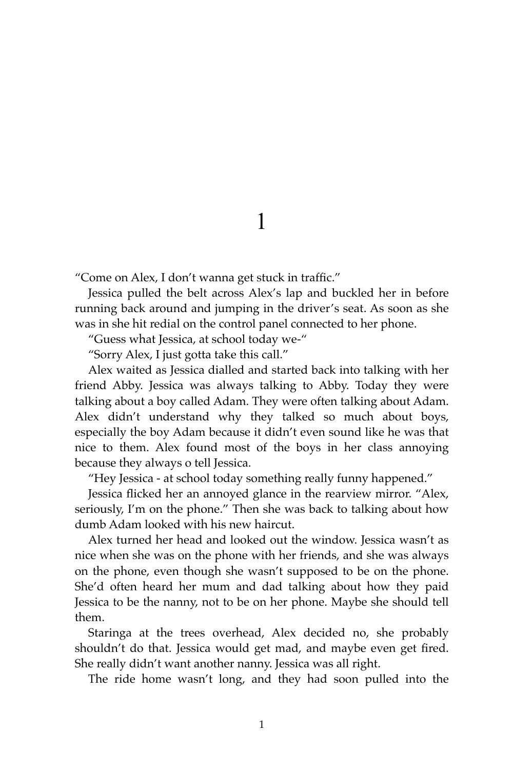"Come on Alex, I don't wanna get stuck in traffic."

Jessica pulled the belt across Alex's lap and buckled her in before running back around and jumping in the driver's seat. As soon as she was in she hit redial on the control panel connected to her phone.

"Guess what Jessica, at school today we-"

"Sorry Alex, I just gotta take this call."

Alex waited as Jessica dialled and started back into talking with her friend Abby. Jessica was always talking to Abby. Today they were talking about a boy called Adam. They were often talking about Adam. Alex didn't understand why they talked so much about boys, especially the boy Adam because it didn't even sound like he was that nice to them. Alex found most of the boys in her class annoying because they always o tell Jessica.

"Hey Jessica - at school today something really funny happened."

Jessica flicked her an annoyed glance in the rearview mirror. "Alex, seriously, I'm on the phone." Then she was back to talking about how dumb Adam looked with his new haircut.

Alex turned her head and looked out the window. Jessica wasn't as nice when she was on the phone with her friends, and she was always on the phone, even though she wasn't supposed to be on the phone. She'd often heard her mum and dad talking about how they paid Jessica to be the nanny, not to be on her phone. Maybe she should tell them.

Staringa at the trees overhead, Alex decided no, she probably shouldn't do that. Jessica would get mad, and maybe even get fired. She really didn't want another nanny. Jessica was all right.

The ride home wasn't long, and they had soon pulled into the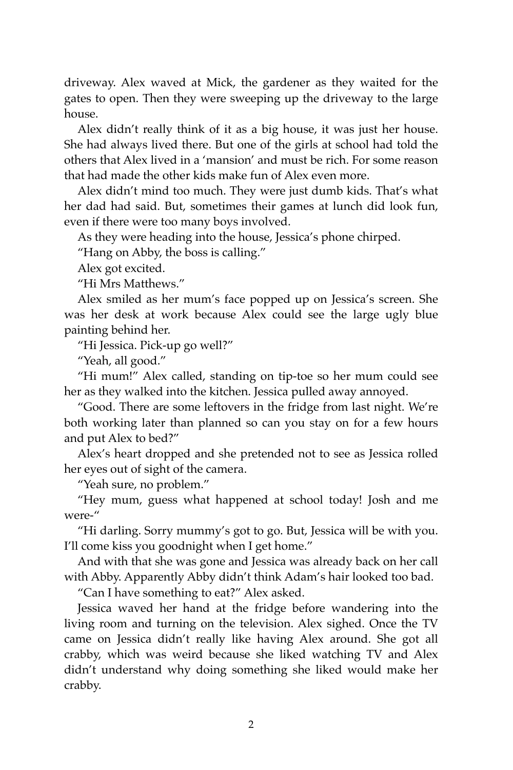driveway. Alex waved at Mick, the gardener as they waited for the gates to open. Then they were sweeping up the driveway to the large house.

Alex didn't really think of it as a big house, it was just her house. She had always lived there. But one of the girls at school had told the others that Alex lived in a 'mansion' and must be rich. For some reason that had made the other kids make fun of Alex even more.

Alex didn't mind too much. They were just dumb kids. That's what her dad had said. But, sometimes their games at lunch did look fun, even if there were too many boys involved.

As they were heading into the house, Jessica's phone chirped.

"Hang on Abby, the boss is calling."

Alex got excited.

"Hi Mrs Matthews."

Alex smiled as her mum's face popped up on Jessica's screen. She was her desk at work because Alex could see the large ugly blue painting behind her.

"Hi Jessica. Pick-up go well?"

"Yeah, all good."

"Hi mum!" Alex called, standing on tip-toe so her mum could see her as they walked into the kitchen. Jessica pulled away annoyed.

"Good. There are some leftovers in the fridge from last night. We're both working later than planned so can you stay on for a few hours and put Alex to bed?"

Alex's heart dropped and she pretended not to see as Jessica rolled her eyes out of sight of the camera.

"Yeah sure, no problem."

"Hey mum, guess what happened at school today! Josh and me were-"

"Hi darling. Sorry mummy's got to go. But, Jessica will be with you. I'll come kiss you goodnight when I get home."

And with that she was gone and Jessica was already back on her call with Abby. Apparently Abby didn't think Adam's hair looked too bad.

"Can I have something to eat?" Alex asked.

Jessica waved her hand at the fridge before wandering into the living room and turning on the television. Alex sighed. Once the TV came on Jessica didn't really like having Alex around. She got all crabby, which was weird because she liked watching TV and Alex didn't understand why doing something she liked would make her crabby.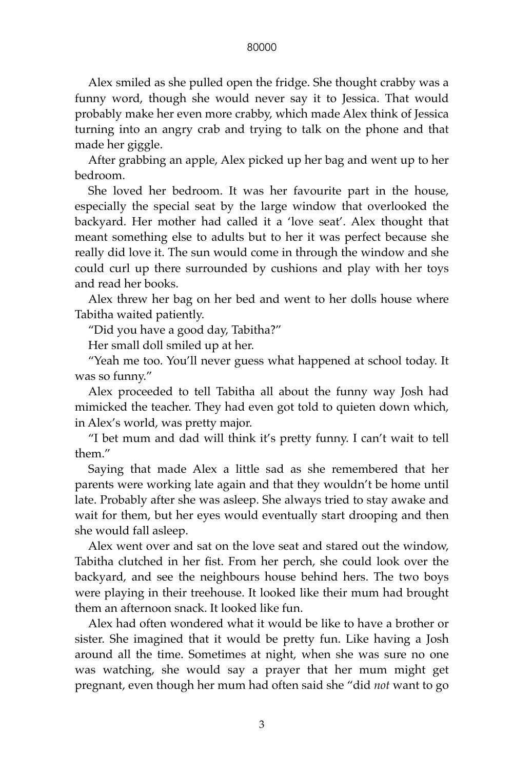Alex smiled as she pulled open the fridge. She thought crabby was a funny word, though she would never say it to Jessica. That would probably make her even more crabby, which made Alex think of Jessica turning into an angry crab and trying to talk on the phone and that made her giggle.

After grabbing an apple, Alex picked up her bag and went up to her bedroom.

She loved her bedroom. It was her favourite part in the house, especially the special seat by the large window that overlooked the backyard. Her mother had called it a 'love seat'. Alex thought that meant something else to adults but to her it was perfect because she really did love it. The sun would come in through the window and she could curl up there surrounded by cushions and play with her toys and read her books.

Alex threw her bag on her bed and went to her dolls house where Tabitha waited patiently.

"Did you have a good day, Tabitha?"

Her small doll smiled up at her.

"Yeah me too. You'll never guess what happened at school today. It was so funny."

Alex proceeded to tell Tabitha all about the funny way Josh had mimicked the teacher. They had even got told to quieten down which, in Alex's world, was pretty major.

"I bet mum and dad will think it's pretty funny. I can't wait to tell them."

Saying that made Alex a little sad as she remembered that her parents were working late again and that they wouldn't be home until late. Probably after she was asleep. She always tried to stay awake and wait for them, but her eyes would eventually start drooping and then she would fall asleep.

Alex went over and sat on the love seat and stared out the window, Tabitha clutched in her fist. From her perch, she could look over the backyard, and see the neighbours house behind hers. The two boys were playing in their treehouse. It looked like their mum had brought them an afternoon snack. It looked like fun.

Alex had often wondered what it would be like to have a brother or sister. She imagined that it would be pretty fun. Like having a Josh around all the time. Sometimes at night, when she was sure no one was watching, she would say a prayer that her mum might get pregnant, even though her mum had often said she "did *not* want to go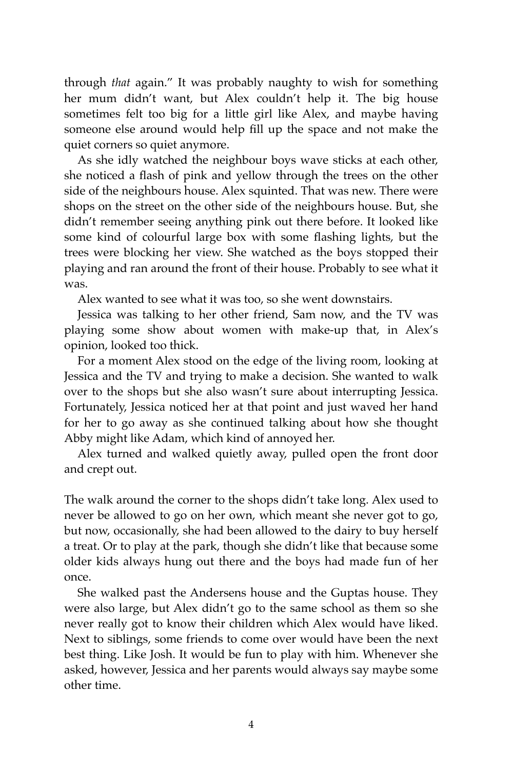through *that* again." It was probably naughty to wish for something her mum didn't want, but Alex couldn't help it. The big house sometimes felt too big for a little girl like Alex, and maybe having someone else around would help fill up the space and not make the quiet corners so quiet anymore.

As she idly watched the neighbour boys wave sticks at each other, she noticed a flash of pink and yellow through the trees on the other side of the neighbours house. Alex squinted. That was new. There were shops on the street on the other side of the neighbours house. But, she didn't remember seeing anything pink out there before. It looked like some kind of colourful large box with some flashing lights, but the trees were blocking her view. She watched as the boys stopped their playing and ran around the front of their house. Probably to see what it was.

Alex wanted to see what it was too, so she went downstairs.

Jessica was talking to her other friend, Sam now, and the TV was playing some show about women with make-up that, in Alex's opinion, looked too thick.

For a moment Alex stood on the edge of the living room, looking at Jessica and the TV and trying to make a decision. She wanted to walk over to the shops but she also wasn't sure about interrupting Jessica. Fortunately, Jessica noticed her at that point and just waved her hand for her to go away as she continued talking about how she thought Abby might like Adam, which kind of annoyed her.

Alex turned and walked quietly away, pulled open the front door and crept out.

The walk around the corner to the shops didn't take long. Alex used to never be allowed to go on her own, which meant she never got to go, but now, occasionally, she had been allowed to the dairy to buy herself a treat. Or to play at the park, though she didn't like that because some older kids always hung out there and the boys had made fun of her once.

She walked past the Andersens house and the Guptas house. They were also large, but Alex didn't go to the same school as them so she never really got to know their children which Alex would have liked. Next to siblings, some friends to come over would have been the next best thing. Like Josh. It would be fun to play with him. Whenever she asked, however, Jessica and her parents would always say maybe some other time.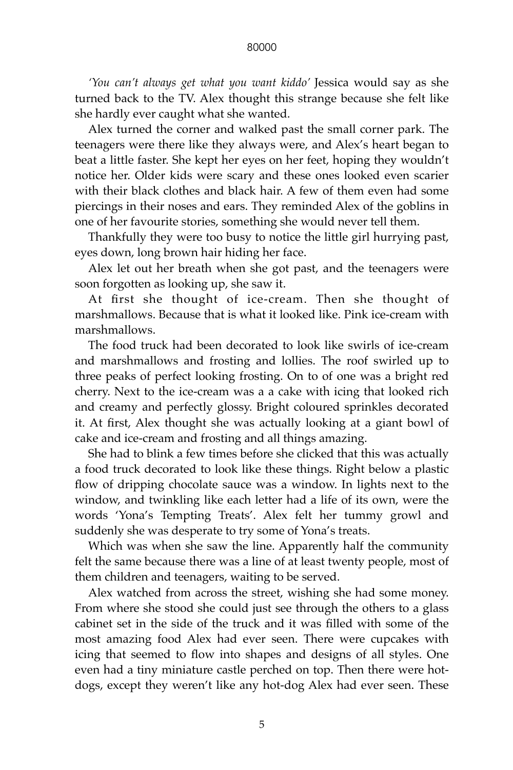*'You can't always get what you want kiddo'* Jessica would say as she turned back to the TV. Alex thought this strange because she felt like she hardly ever caught what she wanted.

Alex turned the corner and walked past the small corner park. The teenagers were there like they always were, and Alex's heart began to beat a little faster. She kept her eyes on her feet, hoping they wouldn't notice her. Older kids were scary and these ones looked even scarier with their black clothes and black hair. A few of them even had some piercings in their noses and ears. They reminded Alex of the goblins in one of her favourite stories, something she would never tell them.

Thankfully they were too busy to notice the little girl hurrying past, eyes down, long brown hair hiding her face.

Alex let out her breath when she got past, and the teenagers were soon forgotten as looking up, she saw it.

At first she thought of ice-cream. Then she thought of marshmallows. Because that is what it looked like. Pink ice-cream with marshmallows.

The food truck had been decorated to look like swirls of ice-cream and marshmallows and frosting and lollies. The roof swirled up to three peaks of perfect looking frosting. On to of one was a bright red cherry. Next to the ice-cream was a a cake with icing that looked rich and creamy and perfectly glossy. Bright coloured sprinkles decorated it. At first, Alex thought she was actually looking at a giant bowl of cake and ice-cream and frosting and all things amazing.

She had to blink a few times before she clicked that this was actually a food truck decorated to look like these things. Right below a plastic flow of dripping chocolate sauce was a window. In lights next to the window, and twinkling like each letter had a life of its own, were the words 'Yona's Tempting Treats'. Alex felt her tummy growl and suddenly she was desperate to try some of Yona's treats.

Which was when she saw the line. Apparently half the community felt the same because there was a line of at least twenty people, most of them children and teenagers, waiting to be served.

Alex watched from across the street, wishing she had some money. From where she stood she could just see through the others to a glass cabinet set in the side of the truck and it was filled with some of the most amazing food Alex had ever seen. There were cupcakes with icing that seemed to flow into shapes and designs of all styles. One even had a tiny miniature castle perched on top. Then there were hotdogs, except they weren't like any hot-dog Alex had ever seen. These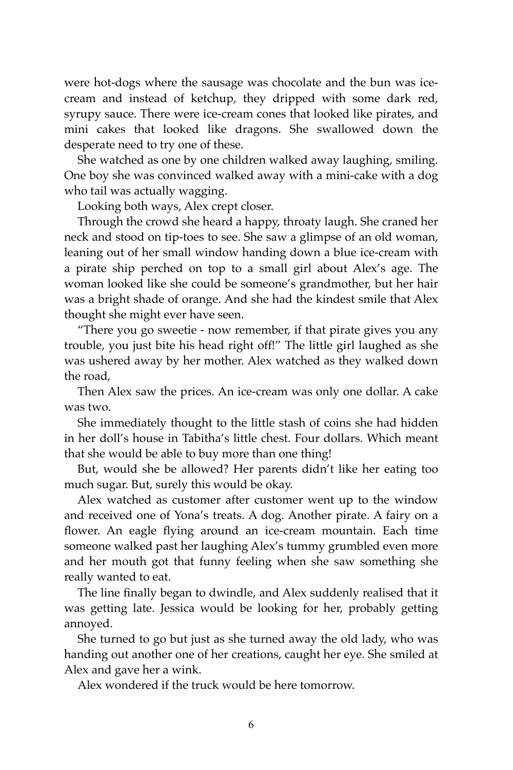were hot-dogs where the sausage was chocolate and the bun was icecream and instead of ketchup, they dripped with some dark red, syrupy sauce. There were ice-cream cones that looked like pirates, and mini cakes that looked like dragons. She swallowed down the desperate need to try one of these.

She watched as one by one children walked away laughing, smiling. One boy she was convinced walked away with a mini-cake with a dog who tail was actually wagging.

Looking both ways, Alex crept closer.

Through the crowd she heard a happy, throaty laugh. She craned her neck and stood on tip-toes to see. She saw a glimpse of an old woman, leaning out of her small window handing down a blue ice-cream with a pirate ship perched on top to a small girl about Alex's age. The woman looked like she could be someone's grandmother, but her hair was a bright shade of orange. And she had the kindest smile that Alex thought she might ever have seen.

"There you go sweetie - now remember, if that pirate gives you any trouble, you just bite his head right off!" The little girl laughed as she was ushered away by her mother. Alex watched as they walked down the road,

Then Alex saw the prices. An ice-cream was only one dollar. A cake was two.

She immediately thought to the little stash of coins she had hidden in her doll's house in Tabitha's little chest. Four dollars. Which meant that she would be able to buy more than one thing!

But, would she be allowed? Her parents didn't like her eating too much sugar. But, surely this would be okay.

Alex watched as customer after customer went up to the window and received one of Yona's treats. A dog. Another pirate. A fairy on a flower. An eagle flying around an ice-cream mountain. Each time someone walked past her laughing Alex's tummy grumbled even more and her mouth got that funny feeling when she saw something she really wanted to eat.

The line finally began to dwindle, and Alex suddenly realised that it was getting late. Jessica would be looking for her, probably getting annoyed.

She turned to go but just as she turned away the old lady, who was handing out another one of her creations, caught her eye. She smiled at Alex and gave her a wink.

Alex wondered if the truck would be here tomorrow.